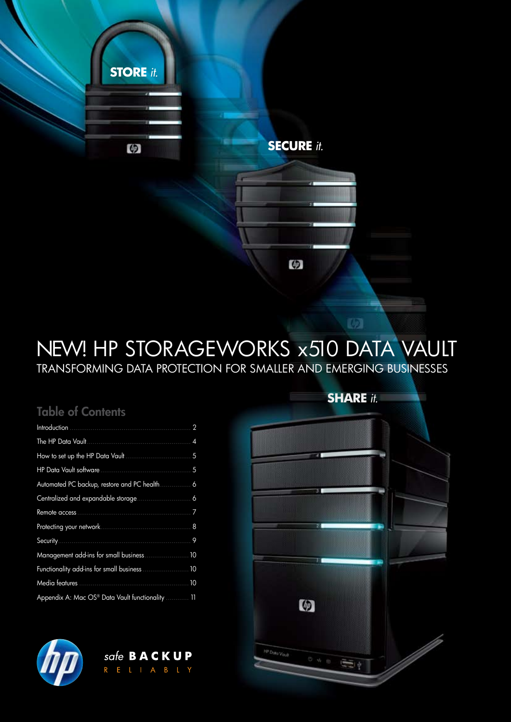

# NEW! HP STORAGEWORKS x510 DATA VAULT Transforming data protection for smaller and emerging businesses

## Table of Contents

| Introduction.                                            | 2              |
|----------------------------------------------------------|----------------|
| The HP Data Vault                                        | $\overline{4}$ |
|                                                          | 5              |
| HP Data Vault software                                   | 5              |
| Automated PC backup, restore and PC health               | 6              |
|                                                          | 6              |
| Remote access                                            | 7              |
|                                                          | 8              |
| Security                                                 | 9              |
| Management add-ins for small business.                   | 10             |
| Functionality add-ins for small business                 | 10             |
| Media features .                                         | 10             |
| Appendix A: Mac OS <sup>®</sup> Data Vault functionality | 11             |



**SHARE** *it.* 

 $\overline{M}$ 



safe **BACKUP**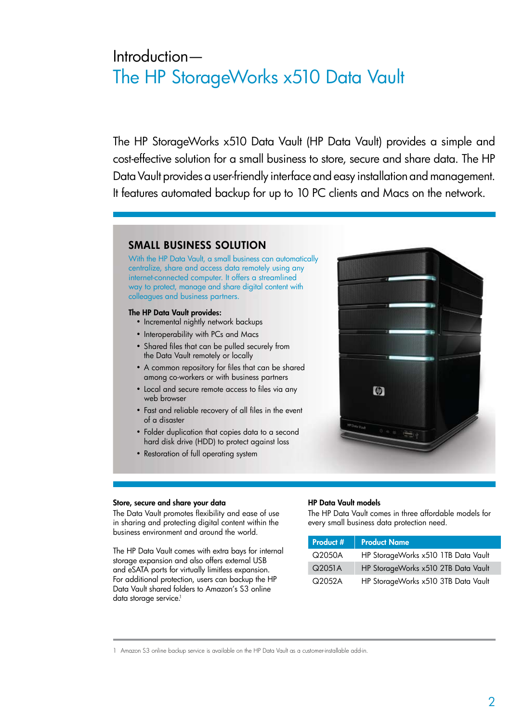# Introduction— The HP StorageWorks x510 Data Vault

The HP StorageWorks x510 Data Vault (HP Data Vault) provides a simple and cost-effective solution for a small business to store, secure and share data. The HP Data Vault provides a user-friendly interface and easy installation and management. It features automated backup for up to 10 PC clients and Macs on the network.

### Small Business Solution

With the HP Data Vault, a small business can automatically centralize, share and access data remotely using any internet-connected computer. It offers a streamlined way to protect, manage and share digital content with colleagues and business partners.

### The HP Data Vault provides:

- Incremental nightly network backups
- Interoperability with PCs and Macs
- Shared files that can be pulled securely from the Data Vault remotely or locally
- A common repository for files that can be shared among co-workers or with business partners
- Local and secure remote access to files via any web browser
- Fast and reliable recovery of all files in the event of a disaster
- Folder duplication that copies data to a second hard disk drive (HDD) to protect against loss
- Restoration of full operating system



### Store, secure and share your data

The Data Vault promotes flexibility and ease of use in sharing and protecting digital content within the business environment and around the world.

The HP Data Vault comes with extra bays for internal storage expansion and also offers external USB and eSATA ports for virtually limitless expansion. For additional protection, users can backup the HP Data Vault shared folders to Amazon's S3 online data storage service.<sup>1</sup>

### HP Data Vault models

The HP Data Vault comes in three affordable models for every small business data protection need.

| Product # | <b>Product Name</b>                 |
|-----------|-------------------------------------|
| $Q$ 2050A | HP StorageWorks x510 1TB Data Vault |
| Q2051A    | HP StorageWorks x510 2TB Data Vault |
| $Q$ 2052A | HP StorageWorks x510 3TB Data Vault |

1 Amazon S3 online backup service is available on the HP Data Vault as a customer-installable add-in.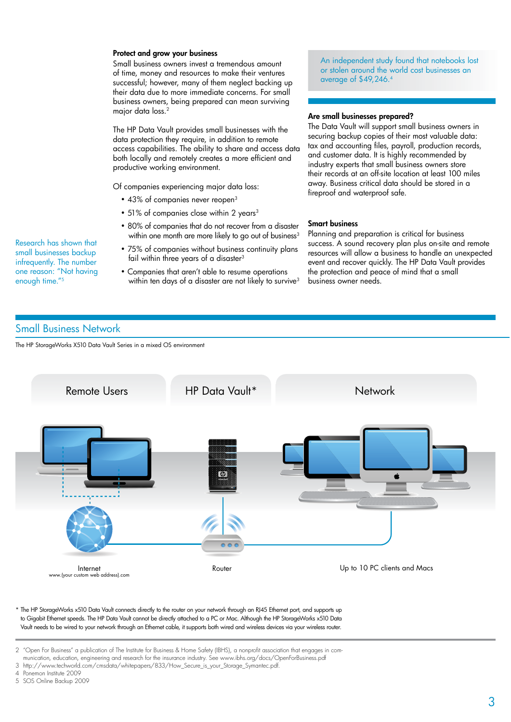### Protect and grow your business

Small business owners invest a tremendous amount of time, money and resources to make their ventures successful; however, many of them neglect backing up their data due to more immediate concerns. For small business owners, being prepared can mean surviving major data loss.2

The HP Data Vault provides small businesses with the data protection they require, in addition to remote access capabilities. The ability to share and access data both locally and remotely creates a more efficient and productive working environment.

Of companies experiencing major data loss:

- 43% of companies never reopen<sup>3</sup>
- 51% of companies close within 2 years<sup>3</sup>
- 80% of companies that do not recover from a disaster within one month are more likely to go out of business<sup>3</sup>
- 75% of companies without business continuity plans fail within three years of a disaster<sup>3</sup>
- Companies that aren't able to resume operations within ten days of a disaster are not likely to survive<sup>3</sup>

An independent study found that notebooks lost or stolen around the world cost businesses an average of \$49,246.4

### Are small businesses prepared?

The Data Vault will support small business owners in securing backup copies of their most valuable data: tax and accounting files, payroll, production records, and customer data. It is highly recommended by industry experts that small business owners store their records at an off-site location at least 100 miles away. Business critical data should be stored in a fireproof and waterproof safe.

### Smart business

Planning and preparation is critical for business success. A sound recovery plan plus on-site and remote resources will allow a business to handle an unexpected event and recover quickly. The HP Data Vault provides the protection and peace of mind that a small business owner needs.

### Small Business Network

Research has shown that small businesses backup infrequently. The number one reason: "Not having

enough time."5

The HP StorageWorks X510 Data Vault Series in a mixed OS environment



\* The HP StorageWorks x510 Data Vault connects directly to the router on your network through an RJ45 Ethernet port, and supports up to Gigabit Ethernet speeds. The HP Data Vault cannot be directly attached to a PC or Mac. Although the HP StorageWorks x510 Data Vault needs to be wired to your network through an Ethernet cable, it supports both wired and wireless devices via your wireless router.

3 http://www.techworld.com/cmsdata/whitepapers/833/How\_Secure\_is\_your\_Storage\_Symantec.pdf.

<sup>2 &</sup>quot;Open For Business" a publication of The Institute for Business & Home Safety (IBHS), a nonprofit association that engages in communication, education, engineering and research for the insurance industry. See www.ibhs.org/docs/OpenForBusiness.pdf

<sup>4</sup> Ponemon Institute 2009

<sup>5</sup> SOS Online Backup 2009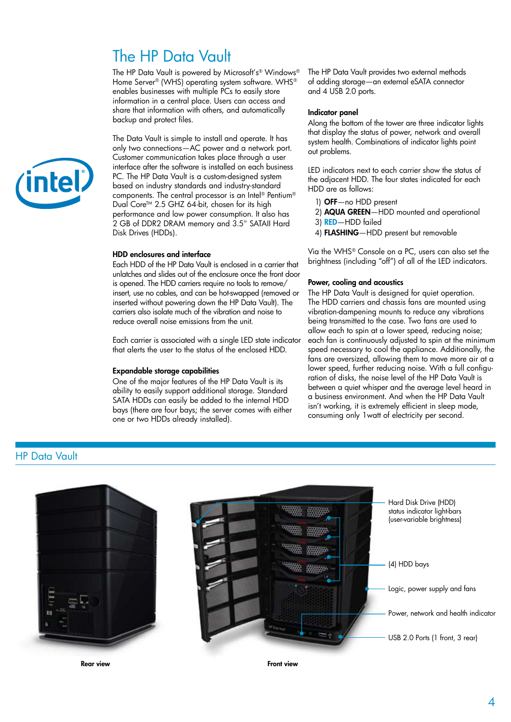# The HP Data Vault

The HP Data Vault is powered by Microsoft's® Windows® Home Server® (WHS) operating system software. WHS® enables businesses with multiple PCs to easily store information in a central place. Users can access and share that information with others, and automatically backup and protect files.

The Data Vault is simple to install and operate. It has only two connections—AC power and a network port. Customer communication takes place through a user interface after the software is installed on each business PC. The HP Data Vault is a custom-designed system based on industry standards and industry-standard components. The central processor is an Intel® Pentium® Dual Core<sup>™</sup> 2.5 GHZ 64-bit, chosen for its high performance and low power consumption. It also has 2 GB of DDR2 DRAM memory and 3.5" SATAII Hard Disk Drives (HDDs).

### HDD enclosures and interface

Each HDD of the HP Data Vault is enclosed in a carrier that unlatches and slides out of the enclosure once the front door is opened. The HDD carriers require no tools to remove/ insert, use no cables, and can be hot-swapped (removed or inserted without powering down the HP Data Vault). The carriers also isolate much of the vibration and noise to reduce overall noise emissions from the unit.

Each carrier is associated with a single LED state indicator that alerts the user to the status of the enclosed HDD.

### Expandable storage capabilities

One of the major features of the HP Data Vault is its ability to easily support additional storage. Standard SATA HDDs can easily be added to the internal HDD bays (there are four bays; the server comes with either one or two HDDs already installed).

The HP Data Vault provides two external methods of adding storage—an external eSATA connector and 4 USB 2.0 ports.

#### Indicator panel

Along the bottom of the tower are three indicator lights that display the status of power, network and overall system health. Combinations of indicator lights point out problems.

LED indicators next to each carrier show the status of the adjacent HDD. The four states indicated for each HDD are as follows:

- 1) OFF—no HDD present
- 2) AQUA GREEN—HDD mounted and operational
- 3) RED—HDD failed
- 4) FLASHING—HDD present but removable

Via the WHS® Console on a PC, users can also set the brightness (including "off") of all of the LED indicators.

### Power, cooling and acoustics

The HP Data Vault is designed for quiet operation. The HDD carriers and chassis fans are mounted using vibration-dampening mounts to reduce any vibrations being transmitted to the case. Two fans are used to allow each to spin at a lower speed, reducing noise; each fan is continuously adjusted to spin at the minimum speed necessary to cool the appliance. Additionally, the fans are oversized, allowing them to move more air at a lower speed, further reducing noise. With a full configuration of disks, the noise level of the HP Data Vault is between a quiet whisper and the average level heard in a business environment. And when the HP Data Vault isn't working, it is extremely efficient in sleep mode, consuming only 1watt of electricity per second.

### HP Data Vault



Rear view



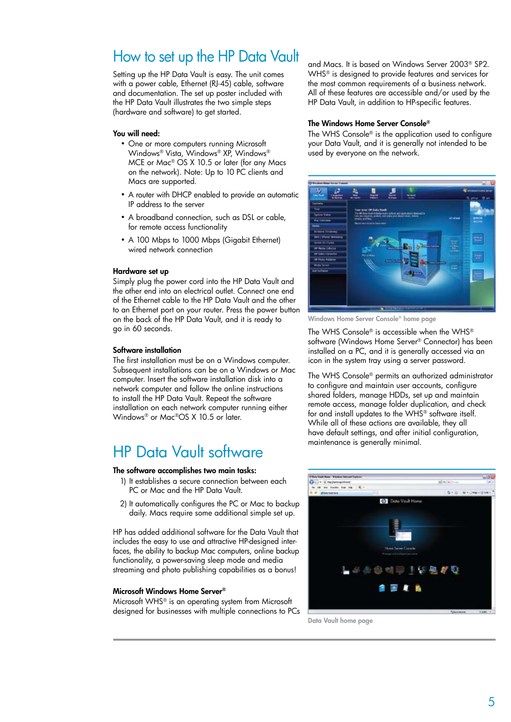## How to set up the HP Data Vault

Setting up the HP Data Vault is easy. The unit comes with a power cable, Ethernet (RJ-45) cable, software and documentation. The set up poster included with the HP Data Vault illustrates the two simple steps (hardware and software) to get started.

### You will need:

- One or more computers running Microsoft Windows® Vista, Windows® XP, Windows® MCE or Mac® OS X 10.5 or later (for any Macs on the network). Note: Up to 10 PC clients and Macs are supported.
- A router with DHCP enabled to provide an automatic IP address to the server
- A broadband connection, such as DSL or cable, for remote access functionality
- A 100 Mbps to 1000 Mbps (Gigabit Ethernet) wired network connection

### Hardware set up

Simply plug the power cord into the HP Data Vault and the other end into an electrical outlet. Connect one end of the Ethernet cable to the HP Data Vault and the other to an Ethernet port on your router. Press the power button on the back of the HP Data Vault, and it is ready to go in 60 seconds.

### Software installation

The first installation must be on a Windows computer. Subsequent installations can be on a Windows or Mac computer. Insert the software installation disk into a network computer and follow the online instructions to install the HP Data Vault. Repeat the software installation on each network computer running either Windows® or Mac®OS X 10.5 or later.

# HP Data Vault software

### The software accomplishes two main tasks:

- 1) It establishes a secure connection between each PC or Mac and the HP Data Vault.
- 2) It automatically configures the PC or Mac to backup daily. Macs require some additional simple set up.

HP has added additional software for the Data Vault that includes the easy to use and attractive HP-designed interfaces, the ability to backup Mac computers, online backup functionality, a power-saving sleep mode and media streaming and photo publishing capabilities as a bonus!

### Microsoft Windows Home Server®

Microsoft WHS® is an operating system from Microsoft designed for businesses with multiple connections to PCs and Macs. It is based on Windows Server 2003® SP2. WHS® is designed to provide features and services for the most common requirements of a business network. All of these features are accessible and/or used by the HP Data Vault, in addition to HP-specific features.

### The Windows Home Server Console®

The WHS Console® is the application used to configure your Data Vault, and it is generally not intended to be used by everyone on the network.



Windows Home Server Console® home page

The WHS Console® is accessible when the WHS® software (Windows Home Server® Connector) has been installed on a PC, and it is generally accessed via an icon in the system tray using a server password.

The WHS Console® permits an authorized administrator to configure and maintain user accounts, configure shared folders, manage HDDs, set up and maintain remote access, manage folder duplication, and check for and install updates to the WHS® software itself. While all of these actions are available, they all have default settings, and after initial configuration, maintenance is generally minimal.



Data Vault home page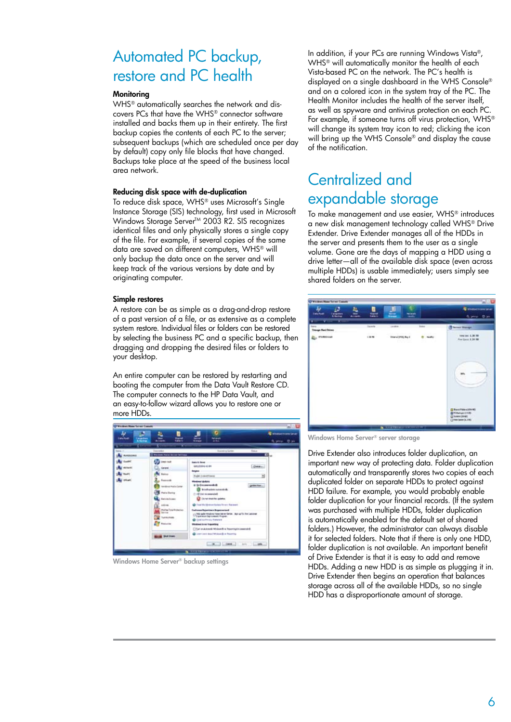# Automated PC backup, restore and PC health

### **Monitoring**

WHS® automatically searches the network and discovers PCs that have the WHS® connector software installed and backs them up in their entirety. The first backup copies the contents of each PC to the server; subsequent backups (which are scheduled once per day by default) copy only file blocks that have changed. Backups take place at the speed of the business local area network.

#### Reducing disk space with de-duplication

To reduce disk space, WHS® uses Microsoft's Single Instance Storage (SIS) technology, first used in Microsoft Windows Storage Server<sup>™</sup> 2003 R2. SIS recognizes identical files and only physically stores a single copy of the file. For example, if several copies of the same data are saved on different computers, WHS® will only backup the data once on the server and will keep track of the various versions by date and by originating computer.

#### Simple restores

A restore can be as simple as a drag-and-drop restore of a past version of a file, or as extensive as a complete system restore. Individual files or folders can be restored by selecting the business PC and a specific backup, then dragging and dropping the desired files or folders to your desktop.

An entire computer can be restored by restarting and booting the computer from the Data Vault Restore CD. The computer connects to the HP Data Vault, and an easy-to-follow wizard allows you to restore one or more HDDs.



Windows Home Server® backup settings

In addition, if your PCs are running Windows Vista®, WHS® will automatically monitor the health of each Vista-based PC on the network. The PC's health is displayed on a single dashboard in the WHS Console® and on a colored icon in the system tray of the PC. The Health Monitor includes the health of the server itself, as well as spyware and antivirus protection on each PC. For example, if someone turns off virus protection, WHS® will change its system tray icon to red; clicking the icon will bring up the WHS Console<sup>®</sup> and display the cause of the notification.

## Centralized and expandable storage

To make management and use easier, WHS® introduces a new disk management technology called WHS® Drive Extender. Drive Extender manages all of the HDDs in the server and presents them to the user as a single volume. Gone are the days of mapping a HDD using a drive letter—all of the available disk space (even across multiple HDDs) is usable immediately; users simply see shared folders on the server.



Windows Home Server® server storage

Drive Extender also introduces folder duplication, an important new way of protecting data. Folder duplication automatically and transparently stores two copies of each duplicated folder on separate HDDs to protect against HDD failure. For example, you would probably enable folder duplication for your financial records. (If the system was purchased with multiple HDDs, folder duplication is automatically enabled for the default set of shared folders.) However, the administrator can always disable it for selected folders. Note that if there is only one HDD, folder duplication is not available. An important benefit of Drive Extender is that it is easy to add and remove HDDs. Adding a new HDD is as simple as plugging it in. Drive Extender then begins an operation that balances storage across all of the available HDDs, so no single HDD has a disproportionate amount of storage.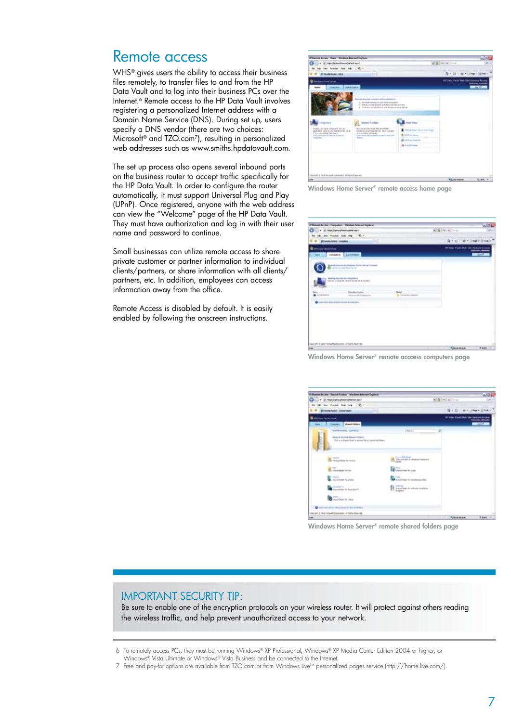### Remote access

WHS<sup>®</sup> gives users the ability to access their business files remotely, to transfer files to and from the HP Data Vault and to log into their business PCs over the Internet.<sup>6</sup> Remote access to the HP Data Vault involves registering a personalized Internet address with a Domain Name Service (DNS). During set up, users specify a DNS vendor (there are two choices: Microsoft® and TZO.com7), resulting in personalized web addresses such as www.smiths.hpdatavault.com.

The set up process also opens several inbound ports on the business router to accept traffic specifically for the HP Data Vault. In order to configure the router automatically, it must support Universal Plug and Play (UPnP). Once registered, anyone with the web address can view the "Welcome" page of the HP Data Vault. They must have authorization and log in with their user name and password to continue.

Small businesses can utilize remote access to share private customer or partner information to individual clients/partners, or share information with all clients/ partners, etc. In addition, employees can access information away from the office.

Remote Access is disabled by default. It is easily enabled by following the onscreen instructions.

| (Filmore Access These Mindows Internet Explorer                                                                                                                                                                                                                                                                                                                                                                                                      |                                                                                                                                                                                  |                                   |                     |
|------------------------------------------------------------------------------------------------------------------------------------------------------------------------------------------------------------------------------------------------------------------------------------------------------------------------------------------------------------------------------------------------------------------------------------------------------|----------------------------------------------------------------------------------------------------------------------------------------------------------------------------------|-----------------------------------|---------------------|
| Town & Al-Montenander and Tax                                                                                                                                                                                                                                                                                                                                                                                                                        |                                                                                                                                                                                  | <b>William</b> Station            |                     |
| last Fourtest Task State 100 to 1                                                                                                                                                                                                                                                                                                                                                                                                                    |                                                                                                                                                                                  |                                   |                     |
| <b>Electrician Isla</b>                                                                                                                                                                                                                                                                                                                                                                                                                              |                                                                                                                                                                                  | 5 × 33 × 46 × 13 Mai + 13 Mai +   |                     |
| <b>Index Hotel State</b>                                                                                                                                                                                                                                                                                                                                                                                                                             |                                                                                                                                                                                  | SP Jan Vari Rob Ste Rosson Avenue | <b>Manufacturer</b> |
| <b>Dealton</b><br><b>Charles</b> 1<br><b>Service</b><br><b>Remain Asseme, contrast and customersed</b><br>4 Service Models for your fixed constraints:<br>A SUPERIORDER EDUCATION AND RELATIONS<br>. To need on the red motivated or all remains and interest that we                                                                                                                                                                                |                                                                                                                                                                                  |                                   | <b>AM DR</b>        |
| <b>Married Follows</b><br><b><i><u>Component</u></i></b><br>lemel clar have component for an<br>Rouse and develop flat and terms.<br>accession, personal case the department of an<br>comediate and having familiar. France is come-<br>Film wind silling cars that e.<br>as pretruitance an illumin.<br>topic auto approximate a case in the pub-<br>and I did a detail where the most<br><b>CONSULTANT</b> In the American<br><b>Brown College</b> | tal Time<br>14 Flocksburg Tilliands Sound Truck<br>Advertising to an interest<br><b>Bild State Street</b><br>All of their facial as<br>the state and control and<br>A but I have |                                   |                     |
|                                                                                                                                                                                                                                                                                                                                                                                                                                                      | and the property of the con-                                                                                                                                                     |                                   |                     |
| <b>Standard E. Milkenmark Constraint, Africa Law and</b>                                                                                                                                                                                                                                                                                                                                                                                             |                                                                                                                                                                                  |                                   |                     |

Windows Home Server® remote access home page

| Phoen boos Coupons Wadon boost Ephra                                                   |                                    |                                   | $-121$            |
|----------------------------------------------------------------------------------------|------------------------------------|-----------------------------------|-------------------|
| Θ<br>Li + d. tor/photonophonon                                                         |                                    | <b>Kill Hills</b>                 | $\frac{1}{2}$     |
| be freely has me . E. -                                                                |                                    |                                   |                   |
| <b>BT-week-koard - Longaans</b>                                                        |                                    | 保大臣                               | THE Y LINGER CENT |
| <b>Misson Hotel Islam</b>                                                              |                                    | 197 East Visit With Life Secure 4 |                   |
| Newthins:<br>Darkesberg<br>mark.                                                       |                                    |                                   | <b>CONTRACTOR</b> |
| bowells increase to interest factor date or former.<br>Convention Labor Market Service |                                    |                                   |                   |
| Nowanda Rossew Will programming<br>CSA on a company new flust the stills consect.      |                                    |                                   |                   |
| Senatos Sales:<br><b>Restrict McGrawment</b>                                           | het o<br><b>B</b> Driveries Health |                                   |                   |
| and control direct funded for one in computers.                                        |                                    |                                   |                   |
|                                                                                        |                                    |                                   |                   |
|                                                                                        |                                    |                                   |                   |
| Lascrath & Jahr Hutsuch Lansander, drillated book red.                                 |                                    |                                   |                   |
| <b>State</b>                                                                           |                                    | <b>Tillinghood</b>                | 15, 8:04 11       |

Windows Home Server® remote acccess computers page



Windows Home Server® remote shared folders page

### Important security tip:

Be sure to enable one of the encryption protocols on your wireless router. It will protect against others reading the wireless traffic, and help prevent unauthorized access to your network.

<sup>6</sup>  To remotely access PCs, they must be running Windows® XP Professional, Windows® XP Media Center Edition 2004 or higher, or Windows® Vista Ultimate or Windows® Vista Business and be connected to the Internet.

<sup>7</sup> Free and pay-for options are available from TZO.com or from Windows Live™ personalized pages service (http://home.live.com/)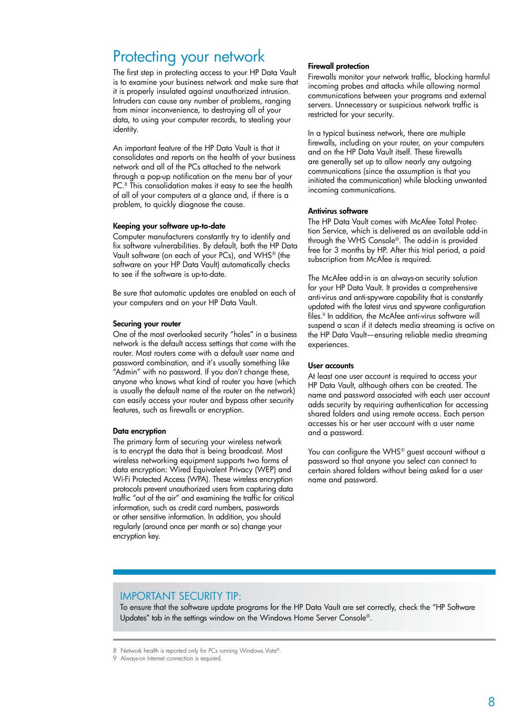## Protecting your network

The first step in protecting access to your HP Data Vault is to examine your business network and make sure that it is properly insulated against unauthorized intrusion. Intruders can cause any number of problems, ranging from minor inconvenience, to destroying all of your data, to using your computer records, to stealing your identity.

An important feature of the HP Data Vault is that it consolidates and reports on the health of your business network and all of the PCs attached to the network through a pop-up notification on the menu bar of your PC. <sup>8</sup> This consolidation makes it easy to see the health of all of your computers at a glance and, if there is a problem, to quickly diagnose the cause.

### Keeping your software up-to-date

Computer manufacturers constantly try to identify and fix software vulnerabilities. By default, both the HP Data Vault software (on each of your PCs), and WHS® (the software on your HP Data Vault) automatically checks to see if the software is up-to-date.

Be sure that automatic updates are enabled on each of your computers and on your HP Data Vault.

### Securing your router

One of the most overlooked security "holes" in a business network is the default access settings that come with the router. Most routers come with a default user name and password combination, and it's usually something like "Admin" with no password. If you don't change these, anyone who knows what kind of router you have (which is usually the default name of the router on the network) can easily access your router and bypass other security features, such as firewalls or encryption.

#### Data encryption

The primary form of securing your wireless network is to encrypt the data that is being broadcast. Most wireless networking equipment supports two forms of data encryption: Wired Equivalent Privacy (WEP) and Wi-Fi Protected Access (WPA). These wireless encryption protocols prevent unauthorized users from capturing data traffic "out of the air" and examining the traffic for critical information, such as credit card numbers, passwords or other sensitive information. In addition, you should regularly (around once per month or so) change your encryption key.

### Firewall protection

Firewalls monitor your network traffic, blocking harmful incoming probes and attacks while allowing normal communications between your programs and external servers. Unnecessary or suspicious network traffic is restricted for your security.

In a typical business network, there are multiple firewalls, including on your router, on your computers and on the HP Data Vault itself. These firewalls are generally set up to allow nearly any outgoing communications (since the assumption is that you initiated the communication) while blocking unwanted incoming communications.

### Antivirus software

The HP Data Vault comes with McAfee Total Protection Service, which is delivered as an available add-in through the WHS Console®. The add-in is provided free for 3 months by HP. After this trial period, a paid subscription from McAfee is required.

The McAfee add-in is an always-on security solution for your HP Data Vault. It provides a comprehensive anti-virus and anti-spyware capability that is constantly updated with the latest virus and spyware configuration files.<sup>9</sup> In addition, the McAfee anti-virus software will suspend a scan if it detects media streaming is active on the HP Data Vault—ensuring reliable media streaming experiences.

### User accounts

At least one user account is required to access your HP Data Vault, although others can be created. The name and password associated with each user account adds security by requiring authentication for accessing shared folders and using remote access. Each person accesses his or her user account with a user name and a password.

You can configure the WHS® guest account without a password so that anyone you select can connect to certain shared folders without being asked for a user name and password.

### Important security tip:

To ensure that the software update programs for the HP Data Vault are set correctly, check the "HP Software Updates" tab in the settings window on the Windows Home Server Console®.

8 Network health is reported only for PCs running Windows Vista®.

<sup>9</sup> Always-on Internet connection is required.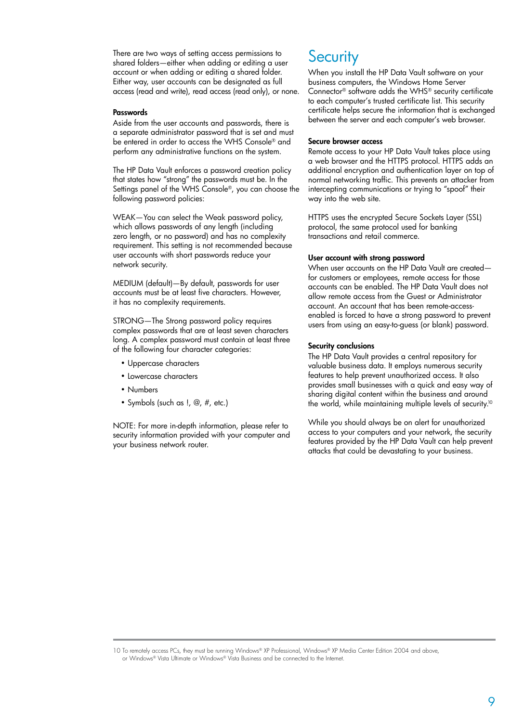There are two ways of setting access permissions to shared folders—either when adding or editing a user account or when adding or editing a shared folder. Either way, user accounts can be designated as full access (read and write), read access (read only), or none.

### **Passwords**

Aside from the user accounts and passwords, there is a separate administrator password that is set and must be entered in order to access the WHS Console® and perform any administrative functions on the system.

The HP Data Vault enforces a password creation policy that states how "strong" the passwords must be. In the Settings panel of the WHS Console®, you can choose the following password policies:

Weak—You can select the Weak password policy, which allows passwords of any length (including zero length, or no password) and has no complexity requirement. This setting is not recommended because user accounts with short passwords reduce your network security.

MEDIUM (default)—By default, passwords for user accounts must be at least five characters. However, it has no complexity requirements.

STRONG-The Strong password policy requires complex passwords that are at least seven characters long. A complex password must contain at least three of the following four character categories:

- Uppercase characters
- Lowercase characters
- Numbers
- Symbols (such as !, @, #, etc.)

NOTE: For more in-depth information, please refer to security information provided with your computer and your business network router.

### **Security**

When you install the HP Data Vault software on your business computers, the Windows Home Server Connector® software adds the WHS® security certificate to each computer's trusted certificate list. This security certificate helps secure the information that is exchanged between the server and each computer's web browser.

### Secure browser access

Remote access to your HP Data Vault takes place using a web browser and the HTTPS protocol. HTTPS adds an additional encryption and authentication layer on top of normal networking traffic. This prevents an attacker from intercepting communications or trying to "spoof" their way into the web site.

HTTPS uses the encrypted Secure Sockets Layer (SSL) protocol, the same protocol used for banking transactions and retail commerce.

### User account with strong password

When user accounts on the HP Data Vault are created for customers or employees, remote access for those accounts can be enabled. The HP Data Vault does not allow remote access from the Guest or Administrator account. An account that has been remote-accessenabled is forced to have a strong password to prevent users from using an easy-to-guess (or blank) password.

#### Security conclusions

The HP Data Vault provides a central repository for valuable business data. It employs numerous security features to help prevent unauthorized access. It also provides small businesses with a quick and easy way of sharing digital content within the business and around the world, while maintaining multiple levels of security.<sup>10</sup>

While you should always be on alert for unauthorized access to your computers and your network, the security features provided by the HP Data Vault can help prevent attacks that could be devastating to your business.

<sup>10</sup> To remotely access PCs, they must be running Windows® XP Professional, Windows® XP Media Center Edition 2004 and above, or Windows® Vista Ultimate or Windows® Vista Business and be connected to the Internet.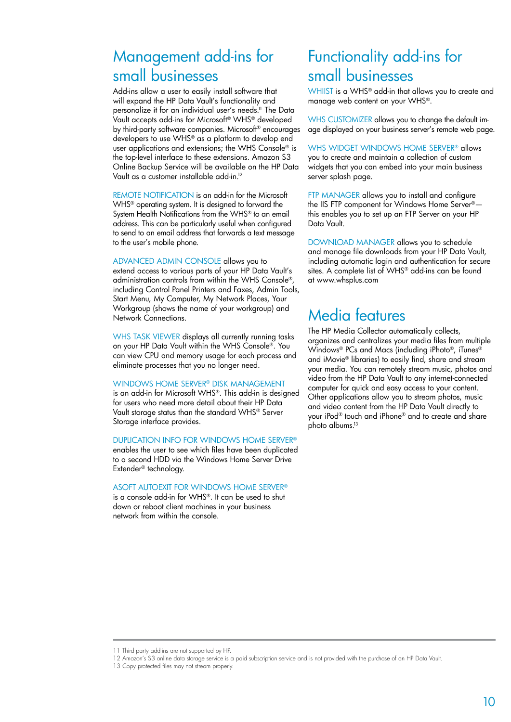## Management add-ins for small businesses

Add-ins allow a user to easily install software that will expand the HP Data Vault's functionality and personalize it for an individual user's needs.<sup>11</sup> The Data Vault accepts add-ins for Microsoft® WHS® developed by third-party software companies. Microsoft® encourages developers to use WHS® as a platform to develop end user applications and extensions; the WHS Console® is the top-level interface to these extensions. Amazon S3 Online Backup Service will be available on the HP Data Vault as a customer installable add-in.12

REMOTE NOTIFICATION is an add-in for the Microsoft WHS® operating system. It is designed to forward the System Health Notifications from the WHS® to an email address. This can be particularly useful when configured to send to an email address that forwards a text message to the user's mobile phone.

Advanced Admin Console allows you to extend access to various parts of your HP Data Vault's administration controls from within the WHS Console®, including Control Panel Printers and Faxes, Admin Tools, Start Menu, My Computer, My Network Places, Your Workgroup (shows the name of your workgroup) and Network Connections.

WHS TASK VIEWER displays all currently running tasks on your HP Data Vault within the WHS Console®. You can view CPU and memory usage for each process and eliminate processes that you no longer need.

#### Windows Home Server® Disk Management

is an add-in for Microsoft WHS®. This add-in is designed for users who need more detail about their HP Data Vault storage status than the standard WHS® Server Storage interface provides.

### Duplication Info for Windows Home Server®

enables the user to see which files have been duplicated to a second HDD via the Windows Home Server Drive Extender® technology.

### ASoft AutoExit for Windows Home Server®

is a console add-in for WHS®. It can be used to shut down or reboot client machines in your business network from within the console.

## Functionality add-ins for small businesses

WHIIST is a WHS® add-in that allows you to create and manage web content on your WHS®.

WHS CUSTOMIZER allows you to change the default image displayed on your business server's remote web page.

WHS WIDGET WINDOWS HOME SERVER® allows you to create and maintain a collection of custom widgets that you can embed into your main business server splash page.

FTP MANAGER allows you to install and configure the IIS FTP component for Windows Home Server® this enables you to set up an FTP Server on your HP Data Vault.

DOWNLOAD MANAGER allows you to schedule and manage file downloads from your HP Data Vault, including automatic login and authentication for secure sites. A complete list of WHS® add-ins can be found at www.whsplus.com

## Media features

The HP Media Collector automatically collects, organizes and centralizes your media files from multiple Windows® PCs and Macs (including iPhoto®, iTunes® and iMovie® libraries) to easily find, share and stream your media. You can remotely stream music, photos and video from the HP Data Vault to any internet-connected computer for quick and easy access to your content. Other applications allow you to stream photos, music and video content from the HP Data Vault directly to your iPod® touch and iPhone® and to create and share photo albums.13

<sup>11</sup> Third party add-ins are not supported by HP.

<sup>12</sup> Amazon's S3 online data storage service is a paid subscription service and is not provided with the purchase of an HP Data Vault.

<sup>13</sup> Copy protected files may not stream properly.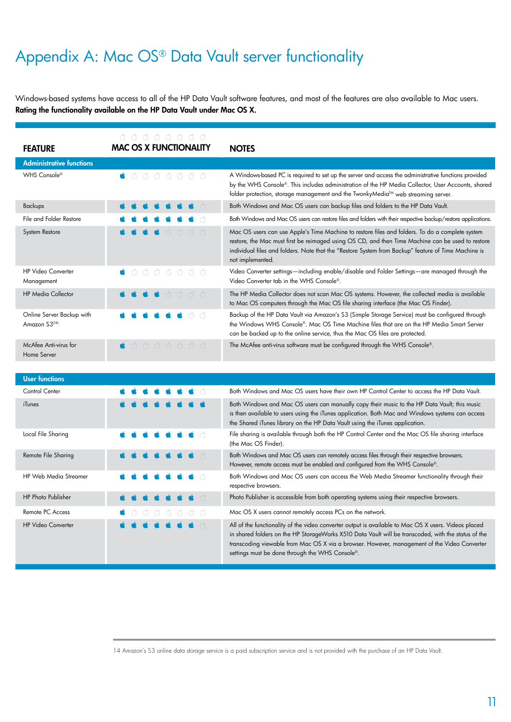# Appendix A: Mac OS® Data Vault server functionality

Windows-based systems have access to all of the HP Data Vault software features, and most of the features are also available to Mac users. Rating the functionality available on the HP Data Vault under Mac OS X.

| <b>FEATURE</b>                             | GGGGGGGG<br><b>MAC OS X FUNCTIONALITY</b>                     | <b>NOTES</b>                                                                                                                                                                                                                                                                                                                    |
|--------------------------------------------|---------------------------------------------------------------|---------------------------------------------------------------------------------------------------------------------------------------------------------------------------------------------------------------------------------------------------------------------------------------------------------------------------------|
| <b>Administrative functions</b>            |                                                               |                                                                                                                                                                                                                                                                                                                                 |
| WHS Console®                               | $\bullet$ 0 0 0 0 0 0 0 $\bullet$                             | A Windows-based PC is required to set up the server and access the administrative functions provided<br>by the WHS Console®. This includes administration of the HP Media Collector, User Accounts, shared<br>folder protection, storage management and the TwonkyMedia™ web streaming server.                                  |
| Backups                                    |                                                               | Both Windows and Mac OS users can backup files and folders to the HP Data Vault.                                                                                                                                                                                                                                                |
| File and Folder Restore                    |                                                               | Both Windows and Mac OS users can restore files and folders with their respective backup/restore applications.                                                                                                                                                                                                                  |
| System Restore                             | AAAA                                                          | Mac OS users can use Apple's Time Machine to restore files and folders. To do a complete system<br>restore, the Mac must first be reimaged using OS CD, and then Time Machine can be used to restore<br>individual files and folders. Note that the "Restore System from Backup" feature of Time Machine is<br>not implemented. |
| <b>HP Video Converter</b><br>Management    | $\bullet$ 0 0 0 0 0 0 0 $\bullet$                             | Video Converter settings—including enable/disable and Folder Settings—are managed through the<br>Video Converter tab in the WHS Console®.                                                                                                                                                                                       |
| <b>HP Media Collector</b>                  | $\bullet$ $\bullet$ $\bullet$ $\circ$ $\circ$ $\circ$ $\circ$ | The HP Media Collector does not scan Mac OS systems. However, the collected media is available<br>to Mac OS computers through the Mac OS file sharing interface (the Mac OS Finder).                                                                                                                                            |
| Online Server Backup with<br>Amazon S3(14) |                                                               | Backup of the HP Data Vault via Amazon's S3 (Simple Storage Service) must be configured through<br>the Windows WHS Console®, Mac OS Time Machine files that are on the HP Media Smart Server<br>can be backed up to the online service, thus the Mac OS files are protected.                                                    |
| McAfee Anti-virus for<br>Home Server       | 353333<br>á.                                                  | The McAfee anti-virus software must be configured through the WHS Console®.                                                                                                                                                                                                                                                     |

| <b>User functions</b>        |                                                                           |                                                                                                                                                                                                                                                                                                                                                                |
|------------------------------|---------------------------------------------------------------------------|----------------------------------------------------------------------------------------------------------------------------------------------------------------------------------------------------------------------------------------------------------------------------------------------------------------------------------------------------------------|
| Control Center               |                                                                           | Both Windows and Mac OS users have their own HP Control Center to access the HP Data Vault.                                                                                                                                                                                                                                                                    |
| iTunes                       |                                                                           | Both Windows and Mac OS users can manually copy their music to the HP Data Vault; this music<br>is then available to users using the iTunes application. Both Mac and Windows systems can access<br>the Shared iTunes library on the HP Data Vault using the iTunes application.                                                                               |
| Local File Sharing           |                                                                           | File sharing is available through both the HP Control Center and the Mac OS file sharing interface<br>(the Mac OS Finder).                                                                                                                                                                                                                                     |
| Remote File Sharing          |                                                                           | Both Windows and Mac OS users can remotely access files through their respective browsers.<br>However, remote access must be enabled and configured from the WHS Console®.                                                                                                                                                                                     |
| <b>HP Web Media Streamer</b> |                                                                           | Both Windows and Mac OS users can access the Web Media Streamer functionality through their<br>respective browsers.                                                                                                                                                                                                                                            |
| HP Photo Publisher           |                                                                           | Photo Publisher is accessible from both operating systems using their respective browsers.                                                                                                                                                                                                                                                                     |
| Remote PC Access             | $\bullet \bullet \bullet \bullet \bullet \bullet \bullet \bullet \bullet$ | Mac OS X users cannot remotely access PCs on the network.                                                                                                                                                                                                                                                                                                      |
| <b>HP Video Converter</b>    |                                                                           | All of the functionality of the video converter output is available to Mac OS X users. Videos placed<br>in shared folders on the HP StorageWorks X510 Data Vault will be transcoded, with the status of the<br>transcoding viewable from Mac OS X via a browser. However, management of the Video Converter<br>settings must be done through the WHS Console®. |

14 Amazon's S3 online data storage service is a paid subscription service and is not provided with the purchase of an HP Data Vault.